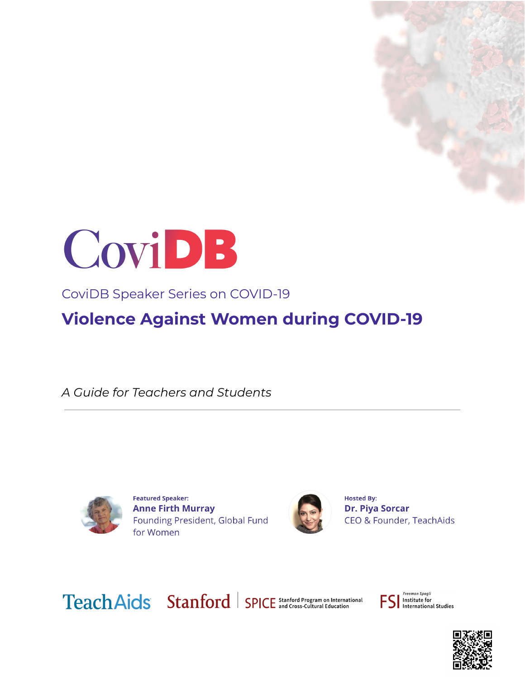



CoviDB Speaker Series on COVID-19

**Violence Against Women during COVID-19**

*A Guide for Teachers and Students*



**Featured Speaker: Anne Firth Murray** Founding President, Global Fund for Women



**Hosted By: Dr. Piya Sorcar** CEO & Founder, TeachAids

Teach Aids Stanford | SPICE Stanford Program on International

Freeman Spogli Institute for **International Studies** 

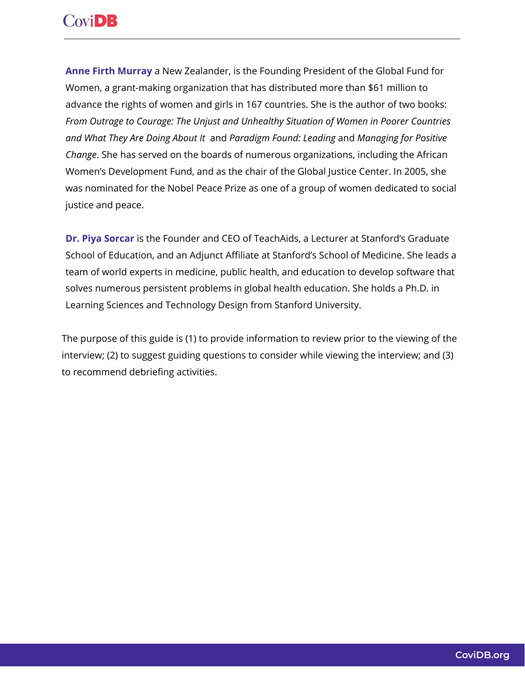# **CoviDB**

**Anne Firth Murray** a New Zealander, is the Founding President of the Global Fund for Women, a grant-making organization that has distributed more than \$61 million to advance the rights of women and girls in 167 countries. She is the author of two books: *From Outrage to Courage: The Unjust and Unhealthy Situation of Women in Poorer Countries and What They Are Doing About It* and *Paradigm Found: Leading* and *Managing for Positive Change*. She has served on the boards of numerous organizations, including the African Women's Development Fund, and as the chair of the Global Justice Center. In 2005, she was nominated for the Nobel Peace Prize as one of a group of women dedicated to social justice and peace.

**Dr. Piya [Sorcar](https://teachaids.org/about/team/#team-tab1-10685)** is the Founder and CEO of TeachAids, a Lecturer at Stanford's Graduate School of Education, and an Adjunct Affiliate at Stanford's School of Medicine. She leads a team of world experts in medicine, public health, and education to develop software that solves numerous persistent problems in global health education. She holds a Ph.D. in Learning Sciences and Technology Design from Stanford University.

The purpose of this guide is (1) to provide information to review prior to the viewing of the interview; (2) to suggest guiding questions to consider while viewing the interview; and (3) to recommend debriefing activities.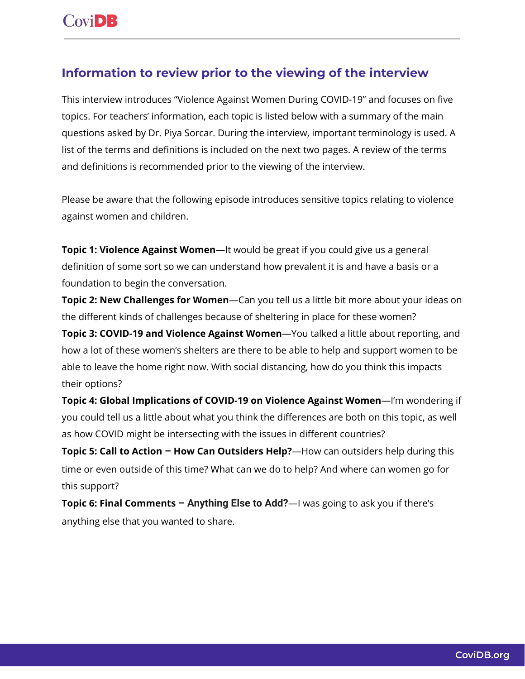### **Information to review prior to the viewing of the interview**

This interview introduces "Violence Against Women During COVID-19" and focuses on five topics. For teachers' information, each topic is listed below with a summary of the main questions asked by Dr. Piya Sorcar. During the interview, important terminology is used. A list of the terms and definitions is included on the next two pages. A review of the terms and definitions is recommended prior to the viewing of the interview.

Please be aware that the following episode introduces sensitive topics relating to violence against women and children.

**Topic 1: Violence Against Women**—It would be great if you could give us a general definition of some sort so we can understand how prevalent it is and have a basis or a foundation to begin the conversation.

**Topic 2: New Challenges for Women**—Can you tell us a little bit more about your ideas on the different kinds of challenges because of sheltering in place for these women?

**Topic 3: COVID-19 and Violence Against Women**—You talked a little about reporting, and how a lot of these women's shelters are there to be able to help and support women to be able to leave the home right now. With social distancing, how do you think this impacts their options?

**Topic 4: Global Implications of COVID-19 on Violence Against Women**—I'm wondering if you could tell us a little about what you think the differences are both on this topic, as well as how COVID might be intersecting with the issues in different countries?

**Topic 5: Call to Action – How Can Outsiders Help?**—How can outsiders help during this time or even outside of this time? What can we do to help? And where can women go for this support?

**Topic 6: Final Comments – Anything Else to Add?**—I was going to ask you if there's anything else that you wanted to share.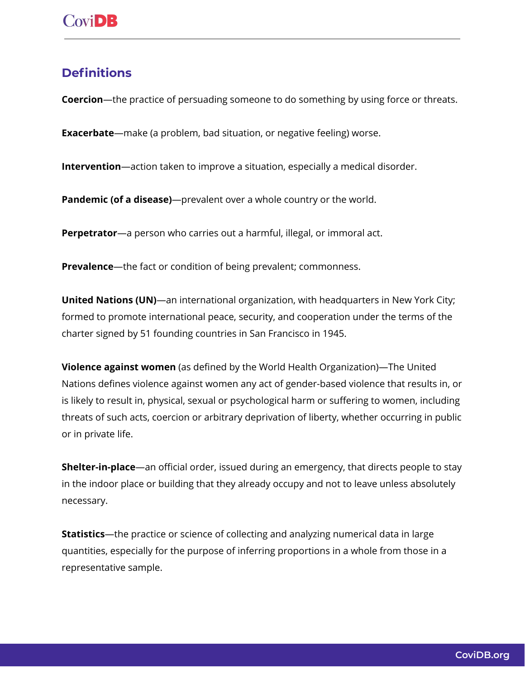#### **Definitions**

**Coercion**—the practice of persuading someone to do something by using force or threats.

**Exacerbate**—make (a problem, bad situation, or negative feeling) worse.

**Intervention**—action taken to improve a situation, especially a medical disorder.

**Pandemic (of a disease)**—prevalent over a whole country or the world.

**Perpetrator**—a person who carries out a harmful, illegal, or immoral act.

**Prevalence**—the fact or condition of being prevalent; commonness.

**United Nations (UN)**—an international organization, with headquarters in New York City; formed to promote international peace, security, and cooperation under the terms of the charter signed by 51 founding countries in San Francisco in 1945.

**Violence against women** (as defined by the World Health Organization)—The United Nations defines violence against women any act of gender-based violence that results in, or is likely to result in, physical, sexual or psychological harm or suffering to women, including threats of such acts, coercion or arbitrary deprivation of liberty, whether occurring in public or in private life.

**Shelter-in-place**—an official order, issued during an emergency, that directs people to stay in the indoor place or building that they already occupy and not to leave unless absolutely necessary.

**Statistics**—the practice or science of collecting and analyzing numerical data in large quantities, especially for the purpose of inferring proportions in a whole from those in a representative sample.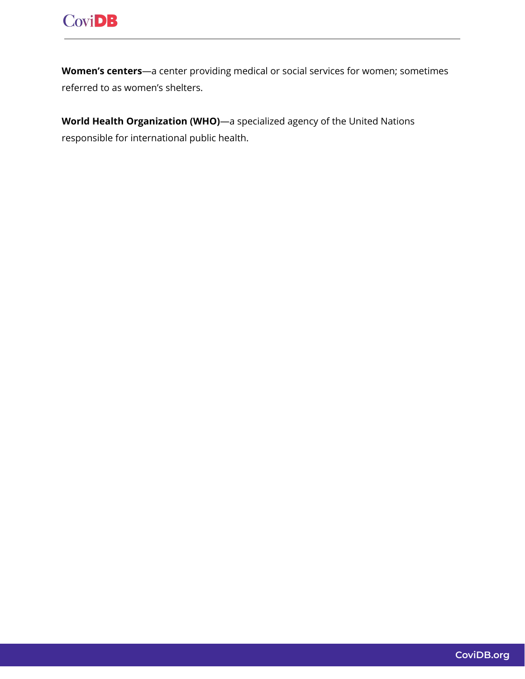

**Women's centers**—a center providing medical or social services for women; sometimes referred to as women's shelters.

**World Health Organization (WHO)**—a specialized agency of the United Nations responsible for international public health.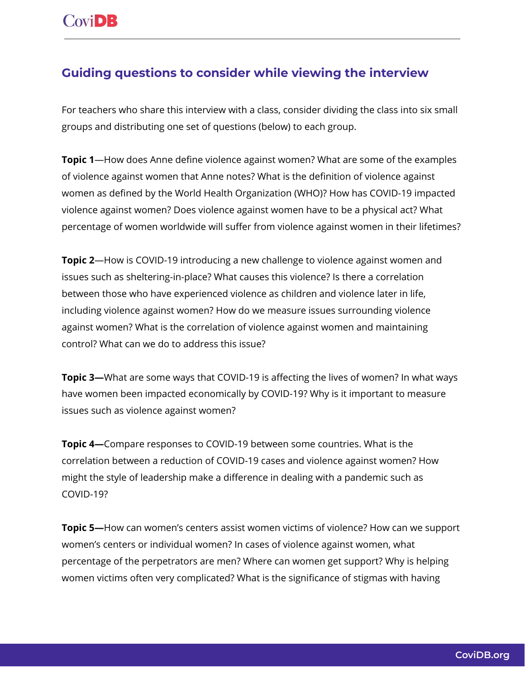## **Guiding questions to consider while viewing the interview**

For teachers who share this interview with a class, consider dividing the class into six small groups and distributing one set of questions (below) to each group.

**Topic 1**—How does Anne define violence against women? What are some of the examples of violence against women that Anne notes? What is the definition of violence against women as defined by the World Health Organization (WHO)? How has COVID-19 impacted violence against women? Does violence against women have to be a physical act? What percentage of women worldwide will suffer from violence against women in their lifetimes?

**Topic 2**—How is COVID-19 introducing a new challenge to violence against women and issues such as sheltering-in-place? What causes this violence? Is there a correlation between those who have experienced violence as children and violence later in life, including violence against women? How do we measure issues surrounding violence against women? What is the correlation of violence against women and maintaining control? What can we do to address this issue?

**Topic 3—**What are some ways that COVID-19 is affecting the lives of women? In what ways have women been impacted economically by COVID-19? Why is it important to measure issues such as violence against women?

**Topic 4—**Compare responses to COVID-19 between some countries. What is the correlation between a reduction of COVID-19 cases and violence against women? How might the style of leadership make a difference in dealing with a pandemic such as COVID-19?

**Topic 5—**How can women's centers assist women victims of violence? How can we support women's centers or individual women? In cases of violence against women, what percentage of the perpetrators are men? Where can women get support? Why is helping women victims often very complicated? What is the significance of stigmas with having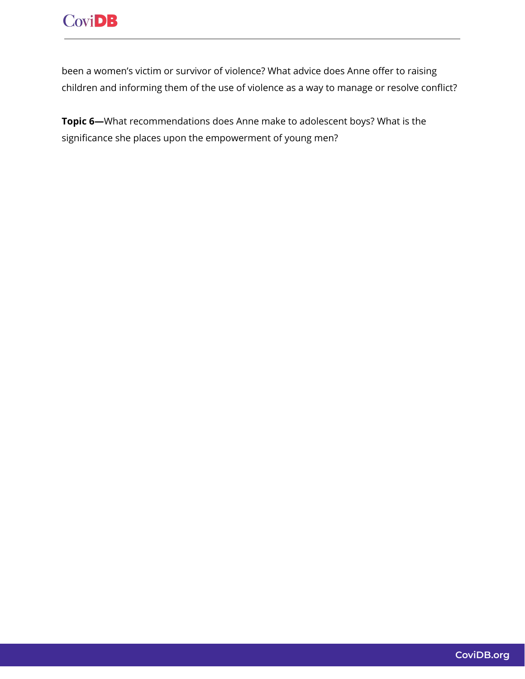been a women's victim or survivor of violence? What advice does Anne offer to raising children and informing them of the use of violence as a way to manage or resolve conflict?

**Topic 6—**What recommendations does Anne make to adolescent boys? What is the significance she places upon the empowerment of young men?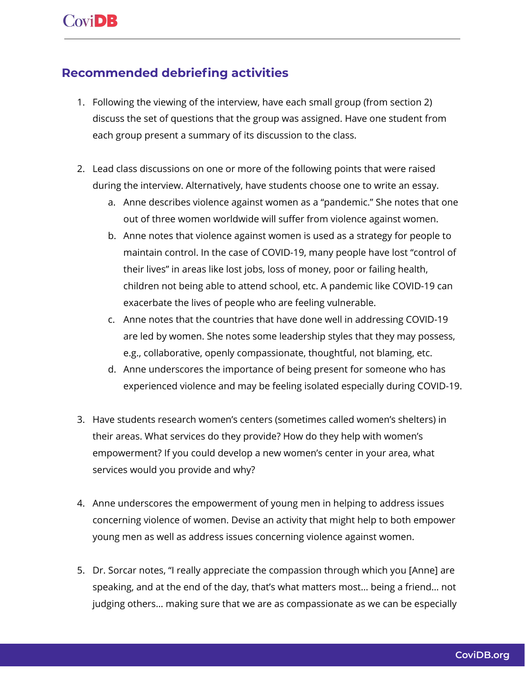#### **Recommended debriefing activities**

- 1. Following the viewing of the interview, have each small group (from section 2) discuss the set of questions that the group was assigned. Have one student from each group present a summary of its discussion to the class.
- 2. Lead class discussions on one or more of the following points that were raised during the interview. Alternatively, have students choose one to write an essay.
	- a. Anne describes violence against women as a "pandemic." She notes that one out of three women worldwide will suffer from violence against women.
	- b. Anne notes that violence against women is used as a strategy for people to maintain control. In the case of COVID-19, many people have lost "control of their lives" in areas like lost jobs, loss of money, poor or failing health, children not being able to attend school, etc. A pandemic like COVID-19 can exacerbate the lives of people who are feeling vulnerable.
	- c. Anne notes that the countries that have done well in addressing COVID-19 are led by women. She notes some leadership styles that they may possess, e.g., collaborative, openly compassionate, thoughtful, not blaming, etc.
	- d. Anne underscores the importance of being present for someone who has experienced violence and may be feeling isolated especially during COVID-19.
- 3. Have students research women's centers (sometimes called women's shelters) in their areas. What services do they provide? How do they help with women's empowerment? If you could develop a new women's center in your area, what services would you provide and why?
- 4. Anne underscores the empowerment of young men in helping to address issues concerning violence of women. Devise an activity that might help to both empower young men as well as address issues concerning violence against women.
- 5. Dr. Sorcar notes, "I really appreciate the compassion through which you [Anne] are speaking, and at the end of the day, that's what matters most… being a friend… not judging others… making sure that we are as compassionate as we can be especially